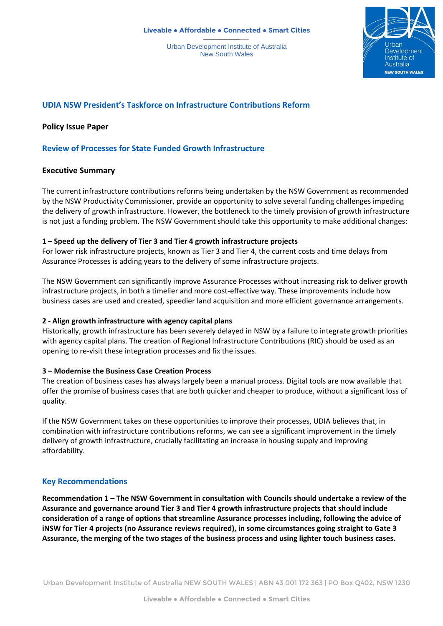Urban Development Institute of Australia New South Wales



# **UDIA NSW President's Taskforce on Infrastructure Contributions Reform**

**Policy Issue Paper** 

# **Review of Processes for State Funded Growth Infrastructure**

### **Executive Summary**

The current infrastructure contributions reforms being undertaken by the NSW Government as recommended by the NSW Productivity Commissioner, provide an opportunity to solve several funding challenges impeding the delivery of growth infrastructure. However, the bottleneck to the timely provision of growth infrastructure is not just a funding problem. The NSW Government should take this opportunity to make additional changes:

### **1 – Speed up the delivery of Tier 3 and Tier 4 growth infrastructure projects**

For lower risk infrastructure projects, known as Tier 3 and Tier 4, the current costs and time delays from Assurance Processes is adding years to the delivery of some infrastructure projects.

The NSW Government can significantly improve Assurance Processes without increasing risk to deliver growth infrastructure projects, in both a timelier and more cost-effective way. These improvements include how business cases are used and created, speedier land acquisition and more efficient governance arrangements.

#### **2 - Align growth infrastructure with agency capital plans**

Historically, growth infrastructure has been severely delayed in NSW by a failure to integrate growth priorities with agency capital plans. The creation of Regional Infrastructure Contributions (RIC) should be used as an opening to re-visit these integration processes and fix the issues.

#### **3 – Modernise the Business Case Creation Process**

The creation of business cases has always largely been a manual process. Digital tools are now available that offer the promise of business cases that are both quicker and cheaper to produce, without a significant loss of quality.

If the NSW Government takes on these opportunities to improve their processes, UDIA believes that, in combination with infrastructure contributions reforms, we can see a significant improvement in the timely delivery of growth infrastructure, crucially facilitating an increase in housing supply and improving affordability.

## **Key Recommendations**

**Recommendation 1 – The NSW Government in consultation with Councils should undertake a review of the Assurance and governance around Tier 3 and Tier 4 growth infrastructure projects that should include consideration of a range of options that streamline Assurance processes including, following the advice of iNSW for Tier 4 projects (no Assurance reviews required), in some circumstances going straight to Gate 3 Assurance, the merging of the two stages of the business process and using lighter touch business cases.**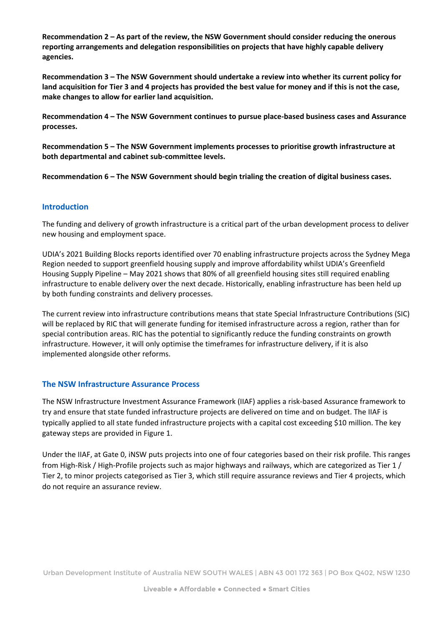**Recommendation 2 – As part of the review, the NSW Government should consider reducing the onerous reporting arrangements and delegation responsibilities on projects that have highly capable delivery agencies.**

**Recommendation 3 – The NSW Government should undertake a review into whether its current policy for land acquisition for Tier 3 and 4 projects has provided the best value for money and if this is not the case, make changes to allow for earlier land acquisition.**

**Recommendation 4 – The NSW Government continues to pursue place-based business cases and Assurance processes.**

**Recommendation 5 – The NSW Government implements processes to prioritise growth infrastructure at both departmental and cabinet sub-committee levels.**

**Recommendation 6 – The NSW Government should begin trialing the creation of digital business cases.**

### **Introduction**

The funding and delivery of growth infrastructure is a critical part of the urban development process to deliver new housing and employment space.

UDIA's 2021 Building Blocks reports identified over 70 enabling infrastructure projects across the Sydney Mega Region needed to support greenfield housing supply and improve affordability whilst UDIA's Greenfield Housing Supply Pipeline – May 2021 shows that 80% of all greenfield housing sites still required enabling infrastructure to enable delivery over the next decade. Historically, enabling infrastructure has been held up by both funding constraints and delivery processes.

The current review into infrastructure contributions means that state Special Infrastructure Contributions (SIC) will be replaced by RIC that will generate funding for itemised infrastructure across a region, rather than for special contribution areas. RIC has the potential to significantly reduce the funding constraints on growth infrastructure. However, it will only optimise the timeframes for infrastructure delivery, if it is also implemented alongside other reforms.

## **The NSW Infrastructure Assurance Process**

The NSW Infrastructure Investment Assurance Framework (IIAF) applies a risk-based Assurance framework to try and ensure that state funded infrastructure projects are delivered on time and on budget. The IIAF is typically applied to all state funded infrastructure projects with a capital cost exceeding \$10 million. The key gateway steps are provided in Figure 1.

Under the IIAF, at Gate 0, iNSW puts projects into one of four categories based on their risk profile. This ranges from High-Risk / High-Profile projects such as major highways and railways, which are categorized as Tier 1 / Tier 2, to minor projects categorised as Tier 3, which still require assurance reviews and Tier 4 projects, which do not require an assurance review.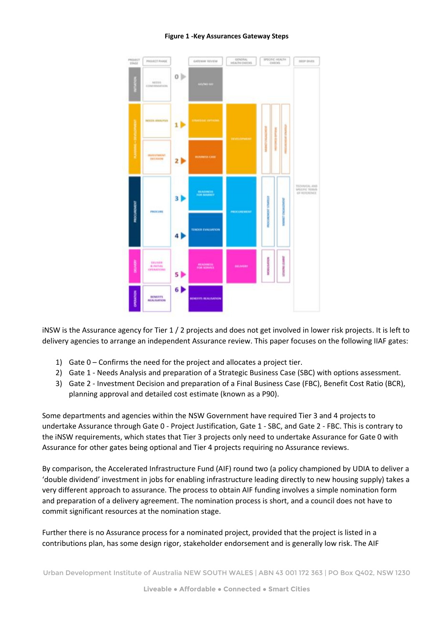#### **Figure 1 -Key Assurances Gateway Steps**



iNSW is the Assurance agency for Tier 1 / 2 projects and does not get involved in lower risk projects. It is left to delivery agencies to arrange an independent Assurance review. This paper focuses on the following IIAF gates:

- 1) Gate 0 Confirms the need for the project and allocates a project tier.
- 2) Gate 1 Needs Analysis and preparation of a Strategic Business Case (SBC) with options assessment.
- 3) Gate 2 Investment Decision and preparation of a Final Business Case (FBC), Benefit Cost Ratio (BCR), planning approval and detailed cost estimate (known as a P90).

Some departments and agencies within the NSW Government have required Tier 3 and 4 projects to undertake Assurance through Gate 0 - Project Justification, Gate 1 - SBC, and Gate 2 - FBC. This is contrary to the iNSW requirements, which states that Tier 3 projects only need to undertake Assurance for Gate 0 with Assurance for other gates being optional and Tier 4 projects requiring no Assurance reviews.

By comparison, the Accelerated Infrastructure Fund (AIF) round two (a policy championed by UDIA to deliver a 'double dividend' investment in jobs for enabling infrastructure leading directly to new housing supply) takes a very different approach to assurance. The process to obtain AIF funding involves a simple nomination form and preparation of a delivery agreement. The nomination process is short, and a council does not have to commit significant resources at the nomination stage.

Further there is no Assurance process for a nominated project, provided that the project is listed in a contributions plan, has some design rigor, stakeholder endorsement and is generally low risk. The AIF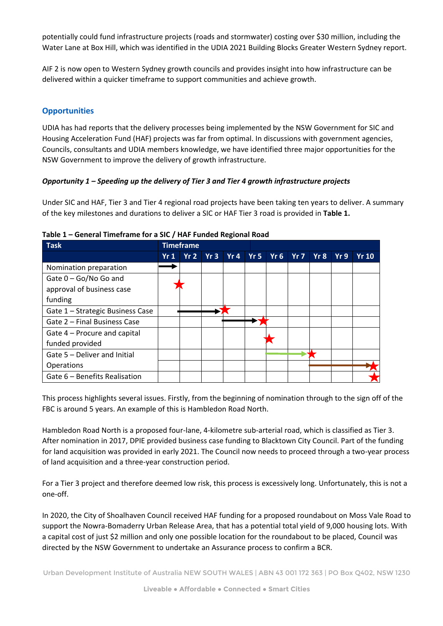potentially could fund infrastructure projects (roads and stormwater) costing over \$30 million, including the Water Lane at Box Hill, which was identified in the UDIA 2021 Building Blocks Greater Western Sydney report.

AIF 2 is now open to Western Sydney growth councils and provides insight into how infrastructure can be delivered within a quicker timeframe to support communities and achieve growth.

# **Opportunities**

UDIA has had reports that the delivery processes being implemented by the NSW Government for SIC and Housing Acceleration Fund (HAF) projects was far from optimal. In discussions with government agencies, Councils, consultants and UDIA members knowledge, we have identified three major opportunities for the NSW Government to improve the delivery of growth infrastructure.

### *Opportunity 1 – Speeding up the delivery of Tier 3 and Tier 4 growth infrastructure projects*

Under SIC and HAF, Tier 3 and Tier 4 regional road projects have been taking ten years to deliver. A summary of the key milestones and durations to deliver a SIC or HAF Tier 3 road is provided in **[Table 1.](#page-3-0)**

| <b>Task</b>                      | <b>Timeframe</b> |     |     |     |                 |                 |     |     |     |      |  |
|----------------------------------|------------------|-----|-----|-----|-----------------|-----------------|-----|-----|-----|------|--|
|                                  | Yr1              | Yr2 | Yr3 | Yr4 | Yr <sub>5</sub> | Yr <sub>6</sub> | Yr7 | Yr8 | Yr9 | Yr10 |  |
| Nomination preparation           |                  |     |     |     |                 |                 |     |     |     |      |  |
| Gate 0 - Go/No Go and            |                  |     |     |     |                 |                 |     |     |     |      |  |
| approval of business case        |                  |     |     |     |                 |                 |     |     |     |      |  |
| funding                          |                  |     |     |     |                 |                 |     |     |     |      |  |
| Gate 1 - Strategic Business Case |                  |     |     |     |                 |                 |     |     |     |      |  |
| Gate 2 - Final Business Case     |                  |     |     |     |                 |                 |     |     |     |      |  |
| Gate 4 – Procure and capital     |                  |     |     |     |                 |                 |     |     |     |      |  |
| funded provided                  |                  |     |     |     |                 |                 |     |     |     |      |  |
| Gate 5 - Deliver and Initial     |                  |     |     |     |                 |                 |     |     |     |      |  |
| Operations                       |                  |     |     |     |                 |                 |     |     |     |      |  |
| Gate 6 – Benefits Realisation    |                  |     |     |     |                 |                 |     |     |     |      |  |

#### <span id="page-3-0"></span>**Table 1 – General Timeframe for a SIC / HAF Funded Regional Road**

This process highlights several issues. Firstly, from the beginning of nomination through to the sign off of the FBC is around 5 years. An example of this is Hambledon Road North.

Hambledon Road North is a proposed four-lane, 4-kilometre sub-arterial road, which is classified as Tier 3. After nomination in 2017, DPIE provided business case funding to Blacktown City Council. Part of the funding for land acquisition was provided in early 2021. The Council now needs to proceed through a two-year process of land acquisition and a three-year construction period.

For a Tier 3 project and therefore deemed low risk, this process is excessively long. Unfortunately, this is not a one-off.

In 2020, the City of Shoalhaven Council received HAF funding for a proposed roundabout on Moss Vale Road to support the Nowra-Bomaderry Urban Release Area, that has a potential total yield of 9,000 housing lots. With a capital cost of just \$2 million and only one possible location for the roundabout to be placed, Council was directed by the NSW Government to undertake an Assurance process to confirm a BCR.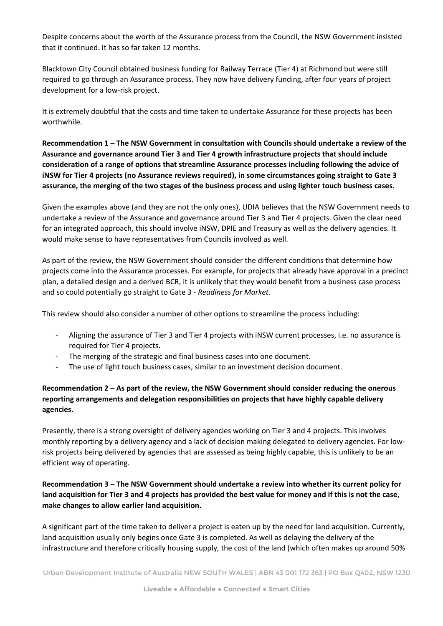Despite concerns about the worth of the Assurance process from the Council, the NSW Government insisted that it continued. It has so far taken 12 months.

Blacktown City Council obtained business funding for Railway Terrace (Tier 4) at Richmond but were still required to go through an Assurance process. They now have delivery funding, after four years of project development for a low-risk project.

It is extremely doubtful that the costs and time taken to undertake Assurance for these projects has been worthwhile.

**Recommendation 1 – The NSW Government in consultation with Councils should undertake a review of the Assurance and governance around Tier 3 and Tier 4 growth infrastructure projects that should include consideration of a range of options that streamline Assurance processes including following the advice of iNSW for Tier 4 projects (no Assurance reviews required), in some circumstances going straight to Gate 3 assurance, the merging of the two stages of the business process and using lighter touch business cases.**

Given the examples above (and they are not the only ones), UDIA believes that the NSW Government needs to undertake a review of the Assurance and governance around Tier 3 and Tier 4 projects. Given the clear need for an integrated approach, this should involve iNSW, DPIE and Treasury as well as the delivery agencies. It would make sense to have representatives from Councils involved as well.

As part of the review, the NSW Government should consider the different conditions that determine how projects come into the Assurance processes. For example, for projects that already have approval in a precinct plan, a detailed design and a derived BCR, it is unlikely that they would benefit from a business case process and so could potentially go straight to Gate 3 - *Readiness for Market.*

This review should also consider a number of other options to streamline the process including:

- Aligning the assurance of Tier 3 and Tier 4 projects with iNSW current processes, i.e. no assurance is required for Tier 4 projects.
- The merging of the strategic and final business cases into one document.
- The use of light touch business cases, similar to an investment decision document.

# **Recommendation 2 – As part of the review, the NSW Government should consider reducing the onerous reporting arrangements and delegation responsibilities on projects that have highly capable delivery agencies.**

Presently, there is a strong oversight of delivery agencies working on Tier 3 and 4 projects. This involves monthly reporting by a delivery agency and a lack of decision making delegated to delivery agencies. For lowrisk projects being delivered by agencies that are assessed as being highly capable, this is unlikely to be an efficient way of operating.

**Recommendation 3 – The NSW Government should undertake a review into whether its current policy for land acquisition for Tier 3 and 4 projects has provided the best value for money and if this is not the case, make changes to allow earlier land acquisition.**

A significant part of the time taken to deliver a project is eaten up by the need for land acquisition. Currently, land acquisition usually only begins once Gate 3 is completed. As well as delaying the delivery of the infrastructure and therefore critically housing supply, the cost of the land (which often makes up around 50%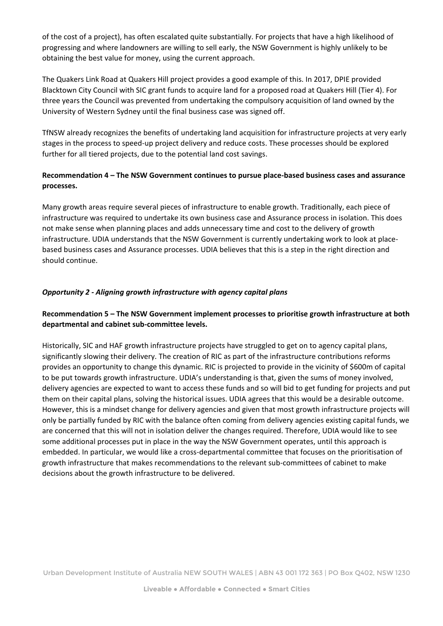of the cost of a project), has often escalated quite substantially. For projects that have a high likelihood of progressing and where landowners are willing to sell early, the NSW Government is highly unlikely to be obtaining the best value for money, using the current approach.

The Quakers Link Road at Quakers Hill project provides a good example of this. In 2017, DPIE provided Blacktown City Council with SIC grant funds to acquire land for a proposed road at Quakers Hill (Tier 4). For three years the Council was prevented from undertaking the compulsory acquisition of land owned by the University of Western Sydney until the final business case was signed off.

TfNSW already recognizes the benefits of undertaking land acquisition for infrastructure projects at very early stages in the process to speed-up project delivery and reduce costs. These processes should be explored further for all tiered projects, due to the potential land cost savings.

# **Recommendation 4 – The NSW Government continues to pursue place-based business cases and assurance processes.**

Many growth areas require several pieces of infrastructure to enable growth. Traditionally, each piece of infrastructure was required to undertake its own business case and Assurance process in isolation. This does not make sense when planning places and adds unnecessary time and cost to the delivery of growth infrastructure. UDIA understands that the NSW Government is currently undertaking work to look at placebased business cases and Assurance processes. UDIA believes that this is a step in the right direction and should continue.

## *Opportunity 2 - Aligning growth infrastructure with agency capital plans*

# **Recommendation 5 – The NSW Government implement processes to prioritise growth infrastructure at both departmental and cabinet sub-committee levels.**

Historically, SIC and HAF growth infrastructure projects have struggled to get on to agency capital plans, significantly slowing their delivery. The creation of RIC as part of the infrastructure contributions reforms provides an opportunity to change this dynamic. RIC is projected to provide in the vicinity of \$600m of capital to be put towards growth infrastructure. UDIA's understanding is that, given the sums of money involved, delivery agencies are expected to want to access these funds and so will bid to get funding for projects and put them on their capital plans, solving the historical issues. UDIA agrees that this would be a desirable outcome. However, this is a mindset change for delivery agencies and given that most growth infrastructure projects will only be partially funded by RIC with the balance often coming from delivery agencies existing capital funds, we are concerned that this will not in isolation deliver the changes required. Therefore, UDIA would like to see some additional processes put in place in the way the NSW Government operates, until this approach is embedded. In particular, we would like a cross-departmental committee that focuses on the prioritisation of growth infrastructure that makes recommendations to the relevant sub-committees of cabinet to make decisions about the growth infrastructure to be delivered.